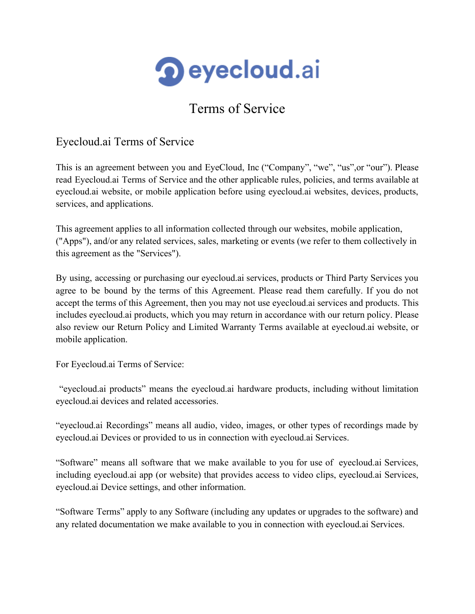

# Terms of Service

# Eyecloud.ai Terms of Service

This is an agreement between you and EyeCloud, Inc ("Company", "we", "us",or "our"). Please read Eyecloud.ai Terms of Service and the other applicable rules, policies, and terms available at eyecloud.ai website, or mobile application before using eyecloud.ai websites, devices, products, services, and applications.

This agreement applies to all information collected through our websites, mobile application, ("Apps"), and/or any related services, sales, marketing or events (we refer to them collectively in this agreement as the "Services").

By using, accessing or purchasing our eyecloud.ai services, products or Third Party Services you agree to be bound by the terms of this Agreement. Please read them carefully. If you do not accept the terms of this Agreement, then you may not use eyecloud.ai services and products. This includes eyecloud.ai products, which you may return in accordance with our return policy. Please also review our Return Policy and Limited Warranty Terms available at eyecloud.ai website, or mobile application.

For Eyecloud.ai Terms of Service:

"eyecloud.ai products" means the eyecloud.ai hardware products, including without limitation eyecloud.ai devices and related accessories.

"eyecloud.ai Recordings" means all audio, video, images, or other types of recordings made by eyecloud.ai Devices or provided to us in connection with eyecloud.ai Services.

"Software" means all software that we make available to you for use of eyecloud.ai Services, including eyecloud.ai app (or website) that provides access to video clips, eyecloud.ai Services, eyecloud.ai Device settings, and other information.

"Software Terms" apply to any Software (including any updates or upgrades to the software) and any related documentation we make available to you in connection with eyecloud.ai Services.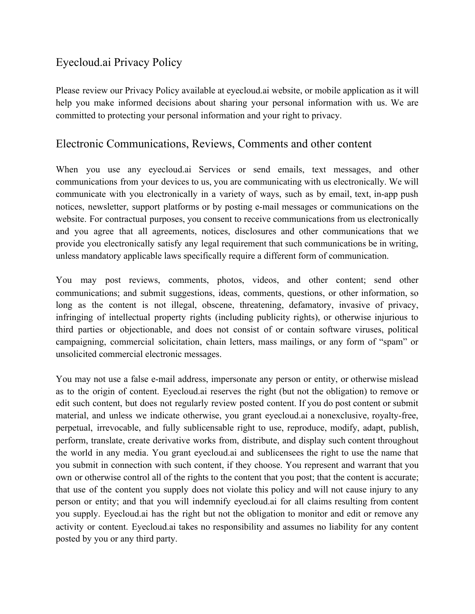# Eyecloud.ai Privacy Policy

Please review our Privacy Policy available at eyecloud.ai website, or mobile application as it will help you make informed decisions about sharing your personal information with us. We are committed to protecting your personal information and your right to privacy.

## Electronic Communications, Reviews, Comments and other content

When you use any eyecloud.ai Services or send emails, text messages, and other communications from your devices to us, you are communicating with us electronically. We will communicate with you electronically in a variety of ways, such as by email, text, in-app push notices, newsletter, support platforms or by posting e-mail messages or communications on the website. For contractual purposes, you consent to receive communications from us electronically and you agree that all agreements, notices, disclosures and other communications that we provide you electronically satisfy any legal requirement that such communications be in writing, unless mandatory applicable laws specifically require a different form of communication.

You may post reviews, comments, photos, videos, and other content; send other communications; and submit suggestions, ideas, comments, questions, or other information, so long as the content is not illegal, obscene, threatening, defamatory, invasive of privacy, infringing of intellectual property rights (including publicity rights), or otherwise injurious to third parties or objectionable, and does not consist of or contain software viruses, political campaigning, commercial solicitation, chain letters, mass mailings, or any form of "spam" or unsolicited commercial electronic messages.

You may not use a false e-mail address, impersonate any person or entity, or otherwise mislead as to the origin of content. Eyecloud.ai reserves the right (but not the obligation) to remove or edit such content, but does not regularly review posted content. If you do post content or submit material, and unless we indicate otherwise, you grant eyecloud.ai a nonexclusive, royalty-free, perpetual, irrevocable, and fully sublicensable right to use, reproduce, modify, adapt, publish, perform, translate, create derivative works from, distribute, and display such content throughout the world in any media. You grant eyecloud.ai and sublicensees the right to use the name that you submit in connection with such content, if they choose. You represent and warrant that you own or otherwise control all of the rights to the content that you post; that the content is accurate; that use of the content you supply does not violate this policy and will not cause injury to any person or entity; and that you will indemnify eyecloud.ai for all claims resulting from content you supply. Eyecloud.ai has the right but not the obligation to monitor and edit or remove any activity or content. Eyecloud.ai takes no responsibility and assumes no liability for any content posted by you or any third party.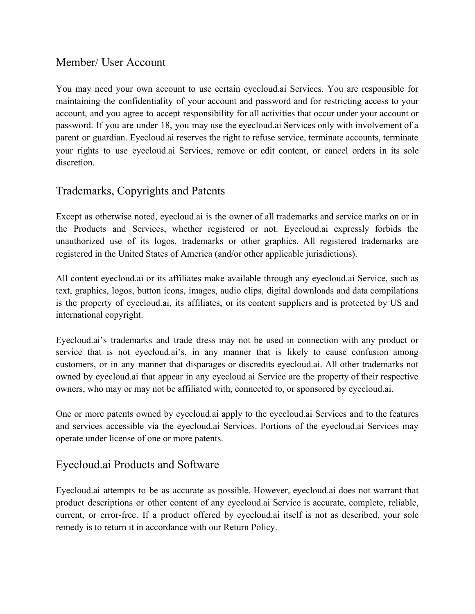### Member/ User Account

You may need your own account to use certain eyecloud.ai Services. You are responsible for maintaining the confidentiality of your account and password and for restricting access to your account, and you agree to accept responsibility for all activities that occur under your account or password. If you are under 18, you may use the eyecloud.ai Services only with involvement of a parent or guardian. Eyecloud.ai reserves the right to refuse service, terminate accounts, terminate your rights to use eyecloud.ai Services, remove or edit content, or cancel orders in its sole discretion.

## Trademarks, Copyrights and Patents

Except as otherwise noted, eyecloud.ai is the owner of all trademarks and service marks on or in the Products and Services, whether registered or not. Eyecloud.ai expressly forbids the unauthorized use of its logos, trademarks or other graphics. All registered trademarks are registered in the United States of America (and/or other applicable jurisdictions).

All content eyecloud.ai or its affiliates make available through any eyecloud.ai Service, such as text, graphics, logos, button icons, images, audio clips, digital downloads and data compilations is the property of eyecloud.ai, its affiliates, or its content suppliers and is protected by US and international copyright.

Eyecloud.ai's trademarks and trade dress may not be used in connection with any product or service that is not eyecloud.ai's, in any manner that is likely to cause confusion among customers, or in any manner that disparages or discredits eyecloud.ai. All other trademarks not owned by eyecloud.ai that appear in any eyecloud.ai Service are the property of their respective owners, who may or may not be affiliated with, connected to, or sponsored by eyecloud.ai.

One or more patents owned by eyecloud.ai apply to the eyecloud.ai Services and to the features and services accessible via the eyecloud.ai Services. Portions of the eyecloud.ai Services may operate under license of one or more patents.

#### Eyecloud.ai Products and Software

Eyecloud.ai attempts to be as accurate as possible. However, eyecloud.ai does not warrant that product descriptions or other content of any eyecloud.ai Service is accurate, complete, reliable, current, or error-free. If a product offered by eyecloud.ai itself is not as described, your sole remedy is to return it in accordance with our Return Policy.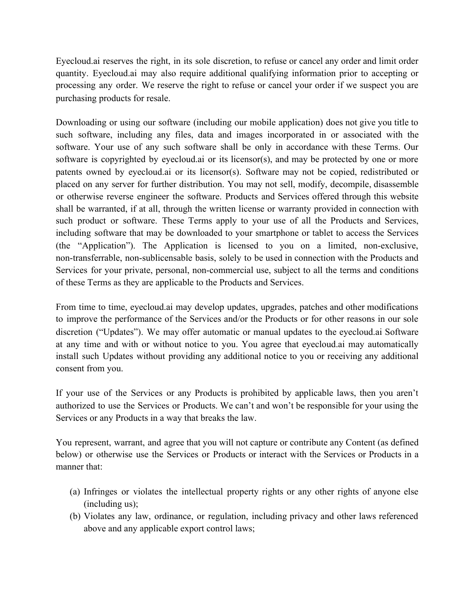Eyecloud.ai reserves the right, in its sole discretion, to refuse or cancel any order and limit order quantity. Eyecloud.ai may also require additional qualifying information prior to accepting or processing any order. We reserve the right to refuse or cancel your order if we suspect you are purchasing products for resale.

Downloading or using our software (including our mobile application) does not give you title to such software, including any files, data and images incorporated in or associated with the software. Your use of any such software shall be only in accordance with these Terms. Our software is copyrighted by eyecloud.ai or its licensor(s), and may be protected by one or more patents owned by eyecloud.ai or its licensor(s). Software may not be copied, redistributed or placed on any server for further distribution. You may not sell, modify, decompile, disassemble or otherwise reverse engineer the software. Products and Services offered through this website shall be warranted, if at all, through the written license or warranty provided in connection with such product or software. These Terms apply to your use of all the Products and Services, including software that may be downloaded to your smartphone or tablet to access the Services (the "Application"). The Application is licensed to you on a limited, non-exclusive, non-transferrable, non-sublicensable basis, solely to be used in connection with the Products and Services for your private, personal, non-commercial use, subject to all the terms and conditions of these Terms as they are applicable to the Products and Services.

From time to time, eyecloud.ai may develop updates, upgrades, patches and other modifications to improve the performance of the Services and/or the Products or for other reasons in our sole discretion ("Updates"). We may offer automatic or manual updates to the eyecloud.ai Software at any time and with or without notice to you. You agree that eyecloud.ai may automatically install such Updates without providing any additional notice to you or receiving any additional consent from you.

If your use of the Services or any Products is prohibited by applicable laws, then you aren't authorized to use the Services or Products. We can't and won't be responsible for your using the Services or any Products in a way that breaks the law.

You represent, warrant, and agree that you will not capture or contribute any Content (as defined below) or otherwise use the Services or Products or interact with the Services or Products in a manner that:

- (a) Infringes or violates the intellectual property rights or any other rights of anyone else (including us);
- (b) Violates any law, ordinance, or regulation, including privacy and other laws referenced above and any applicable export control laws;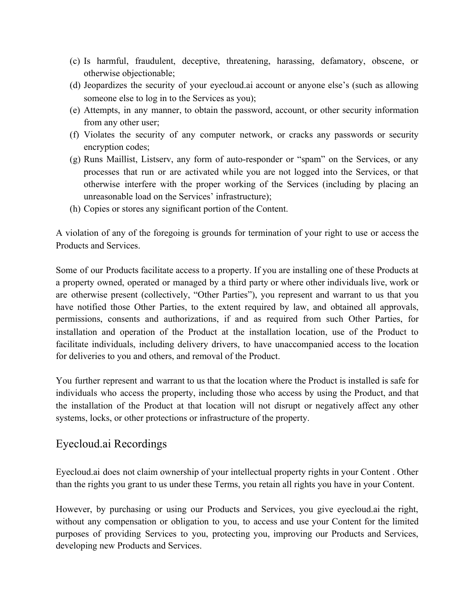- (c) Is harmful, fraudulent, deceptive, threatening, harassing, defamatory, obscene, or otherwise objectionable;
- (d) Jeopardizes the security of your eyecloud.ai account or anyone else's (such as allowing someone else to log in to the Services as you);
- (e) Attempts, in any manner, to obtain the password, account, or other security information from any other user;
- (f) Violates the security of any computer network, or cracks any passwords or security encryption codes;
- (g) Runs Maillist, Listserv, any form of auto-responder or "spam" on the Services, or any processes that run or are activated while you are not logged into the Services, or that otherwise interfere with the proper working of the Services (including by placing an unreasonable load on the Services' infrastructure);
- (h) Copies or stores any significant portion of the Content.

A violation of any of the foregoing is grounds for termination of your right to use or access the Products and Services.

Some of our Products facilitate access to a property. If you are installing one of these Products at a property owned, operated or managed by a third party or where other individuals live, work or are otherwise present (collectively, "Other Parties"), you represent and warrant to us that you have notified those Other Parties, to the extent required by law, and obtained all approvals, permissions, consents and authorizations, if and as required from such Other Parties, for installation and operation of the Product at the installation location, use of the Product to facilitate individuals, including delivery drivers, to have unaccompanied access to the location for deliveries to you and others, and removal of the Product.

You further represent and warrant to us that the location where the Product is installed is safe for individuals who access the property, including those who access by using the Product, and that the installation of the Product at that location will not disrupt or negatively affect any other systems, locks, or other protections or infrastructure of the property.

#### Eyecloud.ai Recordings

Eyecloud.ai does not claim ownership of your intellectual property rights in your Content . Other than the rights you grant to us under these Terms, you retain all rights you have in your Content.

However, by purchasing or using our Products and Services, you give eyecloud.ai the right, without any compensation or obligation to you, to access and use your Content for the limited purposes of providing Services to you, protecting you, improving our Products and Services, developing new Products and Services.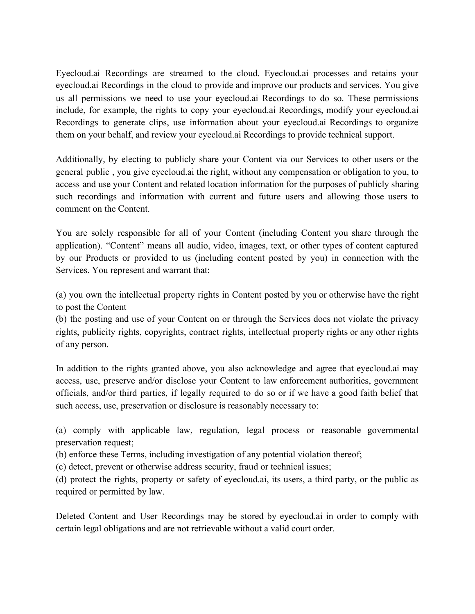Eyecloud.ai Recordings are streamed to the cloud. Eyecloud.ai processes and retains your eyecloud.ai Recordings in the cloud to provide and improve our products and services. You give us all permissions we need to use your eyecloud.ai Recordings to do so. These permissions include, for example, the rights to copy your eyecloud.ai Recordings, modify your eyecloud.ai Recordings to generate clips, use information about your eyecloud.ai Recordings to organize them on your behalf, and review your eyecloud.ai Recordings to provide technical support.

Additionally, by electing to publicly share your Content via our Services to other users or the general public , you give eyecloud.ai the right, without any compensation or obligation to you, to access and use your Content and related location information for the purposes of publicly sharing such recordings and information with current and future users and allowing those users to comment on the Content.

You are solely responsible for all of your Content (including Content you share through the application). "Content" means all audio, video, images, text, or other types of content captured by our Products or provided to us (including content posted by you) in connection with the Services. You represent and warrant that:

(a) you own the intellectual property rights in Content posted by you or otherwise have the right to post the Content

(b) the posting and use of your Content on or through the Services does not violate the privacy rights, publicity rights, copyrights, contract rights, intellectual property rights or any other rights of any person.

In addition to the rights granted above, you also acknowledge and agree that eyecloud.ai may access, use, preserve and/or disclose your Content to law enforcement authorities, government officials, and/or third parties, if legally required to do so or if we have a good faith belief that such access, use, preservation or disclosure is reasonably necessary to:

(a) comply with applicable law, regulation, legal process or reasonable governmental preservation request;

(b) enforce these Terms, including investigation of any potential violation thereof;

(c) detect, prevent or otherwise address security, fraud or technical issues;

(d) protect the rights, property or safety of eyecloud.ai, its users, a third party, or the public as required or permitted by law.

Deleted Content and User Recordings may be stored by eyecloud.ai in order to comply with certain legal obligations and are not retrievable without a valid court order.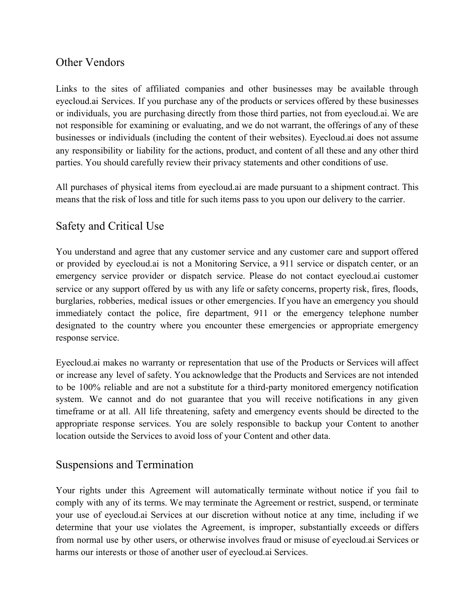#### Other Vendors

Links to the sites of affiliated companies and other businesses may be available through eyecloud.ai Services. If you purchase any of the products or services offered by these businesses or individuals, you are purchasing directly from those third parties, not from eyecloud.ai. We are not responsible for examining or evaluating, and we do not warrant, the offerings of any of these businesses or individuals (including the content of their websites). Eyecloud.ai does not assume any responsibility or liability for the actions, product, and content of all these and any other third parties. You should carefully review their privacy statements and other conditions of use.

All purchases of physical items from eyecloud.ai are made pursuant to a shipment contract. This means that the risk of loss and title for such items pass to you upon our delivery to the carrier.

## Safety and Critical Use

You understand and agree that any customer service and any customer care and support offered or provided by eyecloud.ai is not a Monitoring Service, a 911 service or dispatch center, or an emergency service provider or dispatch service. Please do not contact eyecloud.ai customer service or any support offered by us with any life or safety concerns, property risk, fires, floods, burglaries, robberies, medical issues or other emergencies. If you have an emergency you should immediately contact the police, fire department, 911 or the emergency telephone number designated to the country where you encounter these emergencies or appropriate emergency response service.

Eyecloud.ai makes no warranty or representation that use of the Products or Services will affect or increase any level of safety. You acknowledge that the Products and Services are not intended to be 100% reliable and are not a substitute for a third-party monitored emergency notification system. We cannot and do not guarantee that you will receive notifications in any given timeframe or at all. All life threatening, safety and emergency events should be directed to the appropriate response services. You are solely responsible to backup your Content to another location outside the Services to avoid loss of your Content and other data.

#### Suspensions and Termination

Your rights under this Agreement will automatically terminate without notice if you fail to comply with any of its terms. We may terminate the Agreement or restrict, suspend, or terminate your use of eyecloud.ai Services at our discretion without notice at any time, including if we determine that your use violates the Agreement, is improper, substantially exceeds or differs from normal use by other users, or otherwise involves fraud or misuse of eyecloud.ai Services or harms our interests or those of another user of eyecloud.ai Services.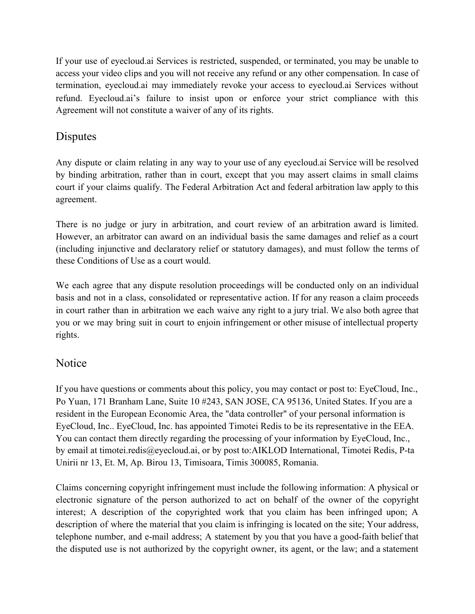If your use of eyecloud.ai Services is restricted, suspended, or terminated, you may be unable to access your video clips and you will not receive any refund or any other compensation. In case of termination, eyecloud.ai may immediately revoke your access to eyecloud.ai Services without refund. Eyecloud.ai's failure to insist upon or enforce your strict compliance with this Agreement will not constitute a waiver of any of its rights.

## Disputes

Any dispute or claim relating in any way to your use of any eyecloud.ai Service will be resolved by binding arbitration, rather than in court, except that you may assert claims in small claims court if your claims qualify. The Federal Arbitration Act and federal arbitration law apply to this agreement.

There is no judge or jury in arbitration, and court review of an arbitration award is limited. However, an arbitrator can award on an individual basis the same damages and relief as a court (including injunctive and declaratory relief or statutory damages), and must follow the terms of these Conditions of Use as a court would.

We each agree that any dispute resolution proceedings will be conducted only on an individual basis and not in a class, consolidated or representative action. If for any reason a claim proceeds in court rather than in arbitration we each waive any right to a jury trial. We also both agree that you or we may bring suit in court to enjoin infringement or other misuse of intellectual property rights.

#### Notice

If you have questions or comments about this policy, you may contact or post to: EyeCloud, Inc., Po Yuan, 171 Branham Lane, Suite 10 #243, SAN JOSE, CA 95136, United States. If you are a resident in the European Economic Area, the "data controller" of your personal information is EyeCloud, Inc.. EyeCloud, Inc. has appointed Timotei Redis to be its representative in the EEA. You can contact them directly regarding the processing of your information by EyeCloud, Inc., by email at timotei.redis@eyecloud.ai, or by post to:AIKLOD International, Timotei Redis, P-ta Unirii nr 13, Et. M, Ap. Birou 13, Timisoara, Timis 300085, Romania.

Claims concerning copyright infringement must include the following information: A physical or electronic signature of the person authorized to act on behalf of the owner of the copyright interest; A description of the copyrighted work that you claim has been infringed upon; A description of where the material that you claim is infringing is located on the site; Your address, telephone number, and e-mail address; A statement by you that you have a good-faith belief that the disputed use is not authorized by the copyright owner, its agent, or the law; and a statement